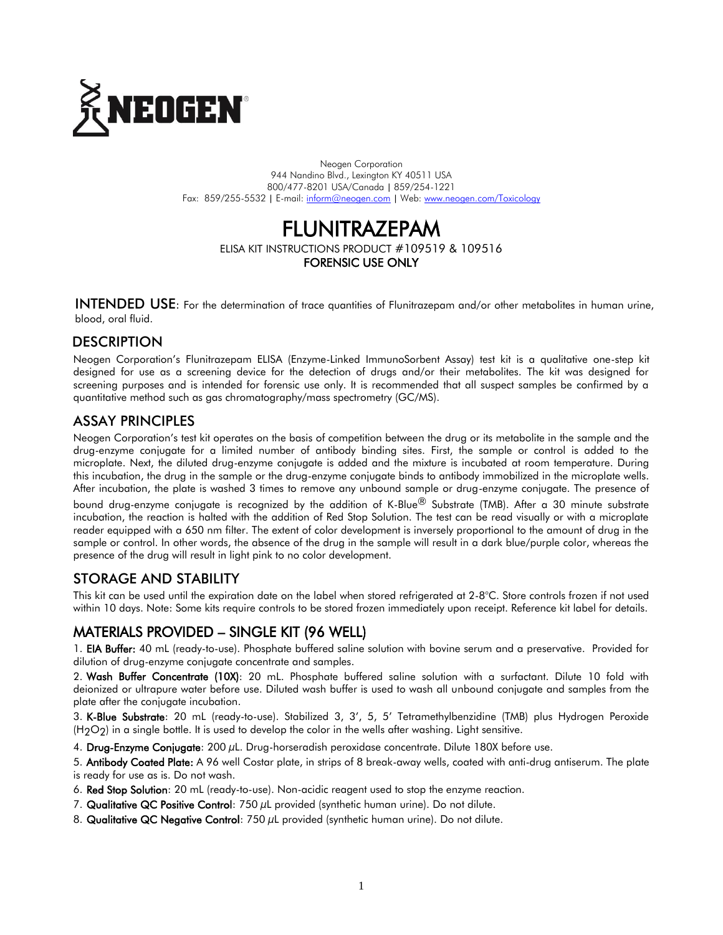

Neogen Corporation 944 Nandino Blvd., Lexington KY 40511 USA 800/477-8201 USA/Canada | 859/254-1221 Fax: 859/255-5532 | E-mail[: inform@neogen.com](mailto:inform@neogen.com) | Web[: www.neogen.com/Toxicology](http://www.neogen.com/Toxicology)



ELISA KIT INSTRUCTIONS PRODUCT #109519 & 109516 FORENSIC USE ONLY

INTENDED USE: For the determination of trace quantities of Flunitrazepam and/or other metabolites in human urine,

blood, oral fluid.

### **DESCRIPTION**

Neogen Corporation's Flunitrazepam ELISA (Enzyme-Linked ImmunoSorbent Assay) test kit is a qualitative one-step kit designed for use as a screening device for the detection of drugs and/or their metabolites. The kit was designed for screening purposes and is intended for forensic use only. It is recommended that all suspect samples be confirmed by a quantitative method such as gas chromatography/mass spectrometry (GC/MS).

### ASSAY PRINCIPLES

Neogen Corporation's test kit operates on the basis of competition between the drug or its metabolite in the sample and the drug-enzyme conjugate for a limited number of antibody binding sites. First, the sample or control is added to the microplate. Next, the diluted drug-enzyme conjugate is added and the mixture is incubated at room temperature. During this incubation, the drug in the sample or the drug-enzyme conjugate binds to antibody immobilized in the microplate wells. After incubation, the plate is washed 3 times to remove any unbound sample or drug-enzyme conjugate. The presence of

bound drug-enzyme conjugate is recognized by the addition of K-Blue<sup>®</sup> Substrate (TMB). After a 30 minute substrate incubation, the reaction is halted with the addition of Red Stop Solution. The test can be read visually or with a microplate reader equipped with a 650 nm filter. The extent of color development is inversely proportional to the amount of drug in the sample or control. In other words, the absence of the drug in the sample will result in a dark blue/purple color, whereas the presence of the drug will result in light pink to no color development.

## STORAGE AND STABILITY

This kit can be used until the expiration date on the label when stored refrigerated at 2-8°C. Store controls frozen if not used within 10 days. Note: Some kits require controls to be stored frozen immediately upon receipt. Reference kit label for details.

# MATERIALS PROVIDED – SINGLE KIT (96 WELL)

1. EIA Buffer: 40 mL (ready-to-use). Phosphate buffered saline solution with bovine serum and a preservative. Provided for dilution of drug-enzyme conjugate concentrate and samples.

2. Wash Buffer Concentrate (10X): 20 mL. Phosphate buffered saline solution with a surfactant. Dilute 10 fold with deionized or ultrapure water before use. Diluted wash buffer is used to wash all unbound conjugate and samples from the plate after the conjugate incubation.

3. K-Blue Substrate: 20 mL (ready-to-use). Stabilized 3, 3', 5, 5' Tetramethylbenzidine (TMB) plus Hydrogen Peroxide  $(H<sub>2</sub>O<sub>2</sub>)$  in a single bottle. It is used to develop the color in the wells after washing. Light sensitive.

4. Drug-Enzyme Conjugate: 200 µL. Drug-horseradish peroxidase concentrate. Dilute 180X before use.

5. Antibody Coated Plate: A 96 well Costar plate, in strips of 8 break-away wells, coated with anti-drug antiserum. The plate is ready for use as is. Do not wash.

- 6. Red Stop Solution: 20 mL (ready-to-use). Non-acidic reagent used to stop the enzyme reaction.
- 7. Qualitative QC Positive Control:  $750 \mu$ L provided (synthetic human urine). Do not dilute.
- 8. Qualitative QC Negative Control: 750 µL provided (synthetic human urine). Do not dilute.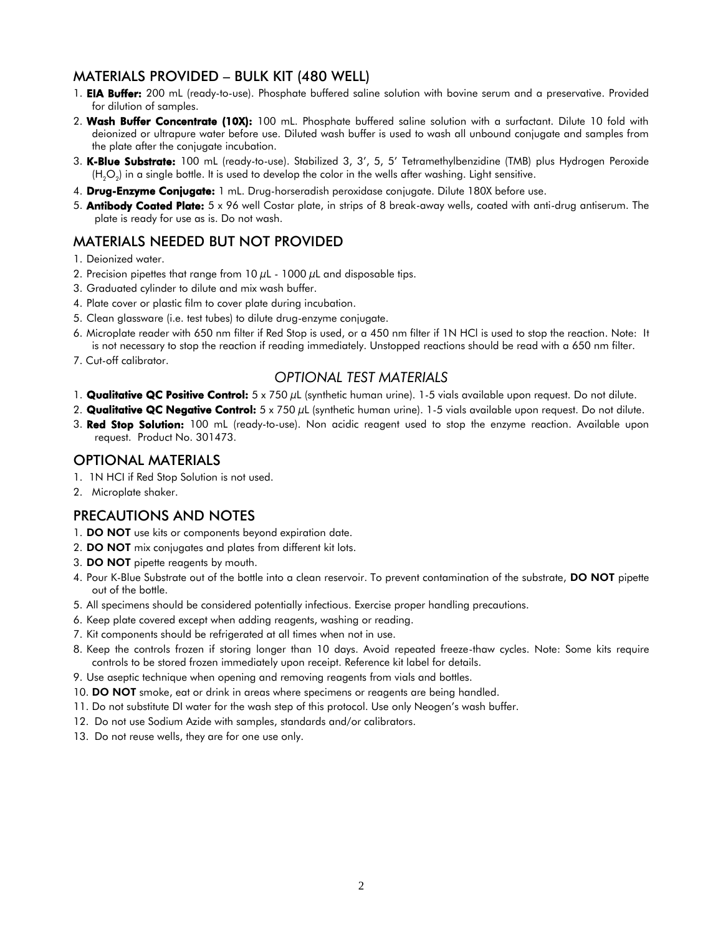### MATERIALS PROVIDED – BULK KIT (480 WELL)

- 1. **EIA Buffer:** 200 mL (ready-to-use). Phosphate buffered saline solution with bovine serum and a preservative. Provided for dilution of samples.
- 2. Wash Buffer Concentrate (10X): 100 mL. Phosphate buffered saline solution with a surfactant. Dilute 10 fold with deionized or ultrapure water before use. Diluted wash buffer is used to wash all unbound conjugate and samples from the plate after the conjugate incubation.
- 3. K-Blue Substrate: 100 mL (ready-to-use). Stabilized 3, 3', 5, 5' Tetramethylbenzidine (TMB) plus Hydrogen Peroxide (H<sub>2</sub>O<sub>2</sub>) in a single bottle. It is used to develop the color in the wells after washing. Light sensitive.
- 4. Drug-Enzyme Conjugate: 1 mL. Drug-horseradish peroxidase conjugate. Dilute 180X before use.
- 5. **Antibody Coated Plate:**  $5 \times 96$  well Costar plate, in strips of 8 break-away wells, coated with anti-drug antiserum. The plate is ready for use as is. Do not wash.

## MATERIALS NEEDED BUT NOT PROVIDED

- 1. Deionized water.
- 2. Precision pipettes that range from 10  $\mu$ L 1000  $\mu$ L and disposable tips.
- 3. Graduated cylinder to dilute and mix wash buffer.
- 4. Plate cover or plastic film to cover plate during incubation.
- 5. Clean glassware (i.e. test tubes) to dilute drug-enzyme conjugate.
- 6. Microplate reader with 650 nm filter if Red Stop is used, or a 450 nm filter if 1N HCl is used to stop the reaction. Note: It is not necessary to stop the reaction if reading immediately. Unstopped reactions should be read with a 650 nm filter.
- 7. Cut-off calibrator.

### *OPTIONAL TEST MATERIALS*

- 1. **Qualitative QC Positive Control:**  $5 \times 750 \mu$ L (synthetic human urine). 1-5 vials available upon request. Do not dilute.
- 2. Qualitative QC Negative Control:  $5 \times 750 \,\mu$ L (synthetic human urine). 1-5 vials available upon request. Do not dilute.
- 3. Red Stop Solution: 100 mL (ready-to-use). Non acidic reagent used to stop the enzyme reaction. Available upon request. Product No. 301473.

### OPTIONAL MATERIALS

- 1. 1N HCI if Red Stop Solution is not used.
- 2. Microplate shaker.

### PRECAUTIONS AND NOTES

- 1. DO NOT use kits or components beyond expiration date.
- 2. DO NOT mix conjugates and plates from different kit lots.
- 3. DO NOT pipette reagents by mouth.
- 4. Pour K-Blue Substrate out of the bottle into a clean reservoir. To prevent contamination of the substrate, DO NOT pipette out of the bottle.
- 5. All specimens should be considered potentially infectious. Exercise proper handling precautions.
- 6. Keep plate covered except when adding reagents, washing or reading.
- 7. Kit components should be refrigerated at all times when not in use.
- 8. Keep the controls frozen if storing longer than 10 days. Avoid repeated freeze-thaw cycles. Note: Some kits require controls to be stored frozen immediately upon receipt. Reference kit label for details.
- 9. Use aseptic technique when opening and removing reagents from vials and bottles.
- 10. DO NOT smoke, eat or drink in areas where specimens or reagents are being handled.
- 11. Do not substitute DI water for the wash step of this protocol. Use only Neogen's wash buffer.
- 12. Do not use Sodium Azide with samples, standards and/or calibrators.
- 13. Do not reuse wells, they are for one use only.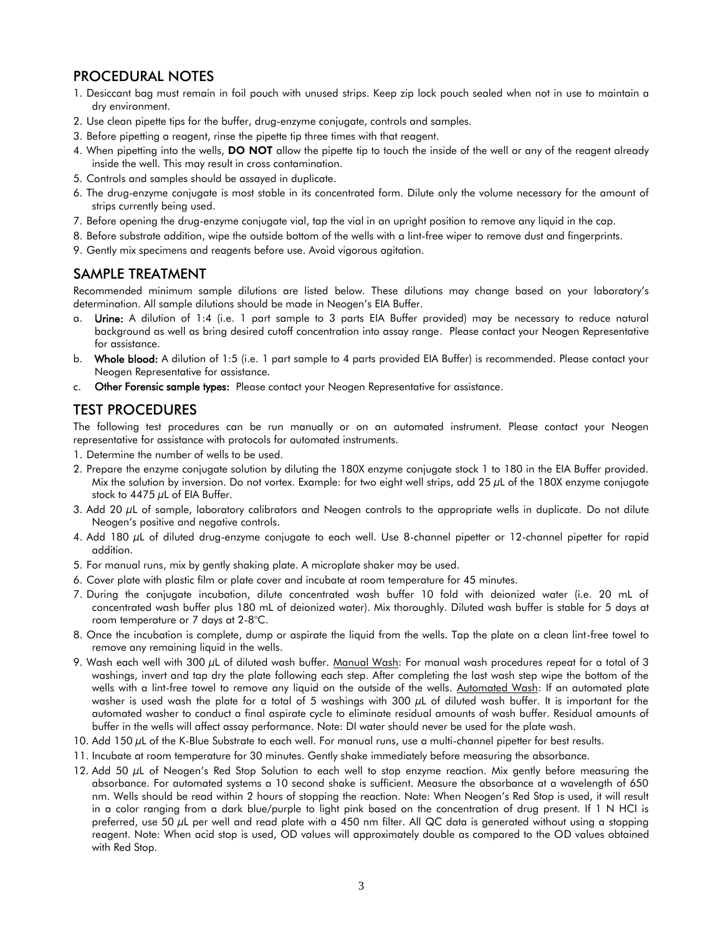### PROCEDURAL NOTES

- 1. Desiccant bag must remain in foil pouch with unused strips. Keep zip lock pouch sealed when not in use to maintain a dry environment.
- 2. Use clean pipette tips for the buffer, drug-enzyme conjugate, controls and samples.
- 3. Before pipetting a reagent, rinse the pipette tip three times with that reagent.
- 4. When pipetting into the wells, DO NOT allow the pipette tip to touch the inside of the well or any of the reagent already inside the well. This may result in cross contamination.
- 5. Controls and samples should be assayed in duplicate.
- 6. The drug-enzyme conjugate is most stable in its concentrated form. Dilute only the volume necessary for the amount of strips currently being used.
- 7. Before opening the drug-enzyme conjugate vial, tap the vial in an upright position to remove any liquid in the cap.
- 8. Before substrate addition, wipe the outside bottom of the wells with a lint-free wiper to remove dust and fingerprints.
- 9. Gently mix specimens and reagents before use. Avoid vigorous agitation.

#### SAMPLE TREATMENT

Recommended minimum sample dilutions are listed below. These dilutions may change based on your laboratory's determination. All sample dilutions should be made in Neogen's EIA Buffer.

- a. Urine: A dilution of 1:4 (i.e. 1 part sample to 3 parts EIA Buffer provided) may be necessary to reduce natural background as well as bring desired cutoff concentration into assay range. Please contact your Neogen Representative for assistance.
- b. Whole blood: A dilution of 1:5 (i.e. 1 part sample to 4 parts provided EIA Buffer) is recommended. Please contact your Neogen Representative for assistance.
- c. Other Forensic sample types: Please contact your Neogen Representative for assistance.

### TEST PROCEDURES

The following test procedures can be run manually or on an automated instrument. Please contact your Neogen representative for assistance with protocols for automated instruments.

- 1. Determine the number of wells to be used.
- 2. Prepare the enzyme conjugate solution by diluting the 180X enzyme conjugate stock 1 to 180 in the EIA Buffer provided. Mix the solution by inversion. Do not vortex. Example: for two eight well strips, add 25  $\mu$ L of the 180X enzyme conjugate stock to 4475  $\mu$ L of EIA Buffer.
- 3. Add 20  $\mu$ L of sample, laboratory calibrators and Neogen controls to the appropriate wells in duplicate. Do not dilute Neogen's positive and negative controls.
- 4. Add 180 µL of diluted drug-enzyme conjugate to each well. Use 8-channel pipetter or 12-channel pipetter for rapid addition.
- 5. For manual runs, mix by gently shaking plate. A microplate shaker may be used.
- 6. Cover plate with plastic film or plate cover and incubate at room temperature for 45 minutes.
- 7. During the conjugate incubation, dilute concentrated wash buffer 10 fold with deionized water (i.e. 20 mL of concentrated wash buffer plus 180 mL of deionized water). Mix thoroughly. Diluted wash buffer is stable for 5 days at room temperature or 7 days at 2-8°C.
- 8. Once the incubation is complete, dump or aspirate the liquid from the wells. Tap the plate on a clean lint-free towel to remove any remaining liquid in the wells.
- 9. Wash each well with 300 µL of diluted wash buffer. Manual Wash: For manual wash procedures repeat for a total of 3 washings, invert and tap dry the plate following each step. After completing the last wash step wipe the bottom of the wells with a lint-free towel to remove any liquid on the outside of the wells. Automated Wash: If an automated plate washer is used wash the plate for a total of 5 washings with 300 µL of diluted wash buffer. It is important for the automated washer to conduct a final aspirate cycle to eliminate residual amounts of wash buffer. Residual amounts of buffer in the wells will affect assay performance. Note: DI water should never be used for the plate wash.
- 10. Add 150  $\mu$ L of the K-Blue Substrate to each well. For manual runs, use a multi-channel pipetter for best results.
- 11. Incubate at room temperature for 30 minutes. Gently shake immediately before measuring the absorbance.
- 12. Add 50 µL of Neogen's Red Stop Solution to each well to stop enzyme reaction. Mix gently before measuring the absorbance. For automated systems a 10 second shake is sufficient. Measure the absorbance at a wavelength of 650 nm. Wells should be read within 2 hours of stopping the reaction. Note: When Neogen's Red Stop is used, it will result in a color ranging from a dark blue/purple to light pink based on the concentration of drug present. If 1 N HCI is preferred, use 50  $\mu$ L per well and read plate with a 450 nm filter. All QC data is generated without using a stopping reagent. Note: When acid stop is used, OD values will approximately double as compared to the OD values obtained with Red Stop.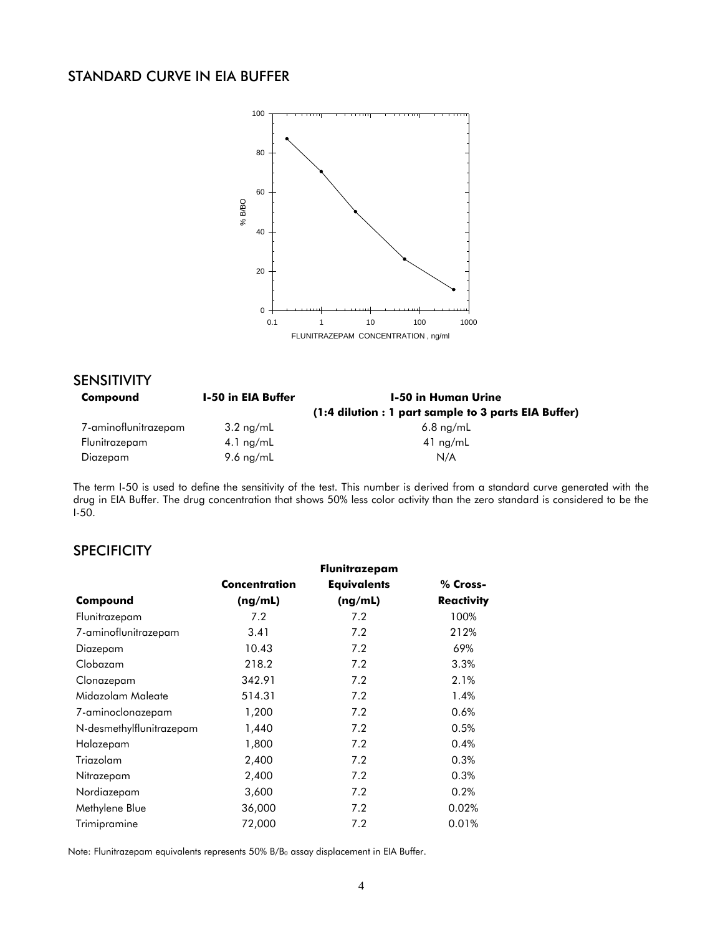## STANDARD CURVE IN EIA BUFFER



| <b>SENSITIVITY</b>   |                           |                                                      |  |
|----------------------|---------------------------|------------------------------------------------------|--|
| Compound             | <b>1-50 in EIA Buffer</b> | 1-50 in Human Urine                                  |  |
|                      |                           | (1:4 dilution : 1 part sample to 3 parts EIA Buffer) |  |
| 7-aminoflunitrazepam | $3.2 \text{ ng/mL}$       | $6.8 \text{ ng/mL}$                                  |  |
| Flunitrazepam        | 4.1 $ng/mL$               | $41$ ng/mL                                           |  |
| Diazepam             | 9.6 $ng/mL$               | N/A                                                  |  |

The term I-50 is used to define the sensitivity of the test. This number is derived from a standard curve generated with the drug in EIA Buffer. The drug concentration that shows 50% less color activity than the zero standard is considered to be the I-50.

### **SPECIFICITY**

|                          |                      | Flunitrazepam      |                   |
|--------------------------|----------------------|--------------------|-------------------|
|                          | <b>Concentration</b> | <b>Equivalents</b> | % Cross-          |
| Compound                 | (ng/mL)              | (ng/mL)            | <b>Reactivity</b> |
| Flunitrazepam            | 7.2                  | 7.2                | 100%              |
| 7-aminoflunitrazepam     | 3.41                 | 7.2                | 212%              |
| Diazepam                 | 10.43                | 7.2                | 69%               |
| Clobazam                 | 218.2                | 7.2                | 3.3%              |
| Clonazepam               | 342.91               | 7.2                | 2.1%              |
| Midazolam Maleate        | 514.31               | 7.2                | 1.4%              |
| 7-aminoclonazepam        | 1,200                | 7.2                | 0.6%              |
| N-desmethylflunitrazepam | 1,440                | 7.2                | 0.5%              |
| Halazepam                | 1,800                | 7.2                | 0.4%              |
| Triazolam                | 2,400                | 7.2                | 0.3%              |
| Nitrazepam               | 2,400                | 7.2                | 0.3%              |
| Nordiazepam              | 3,600                | 7.2                | 0.2%              |
| Methylene Blue           | 36,000               | 7.2                | 0.02%             |
| Trimipramine             | 72,000               | 7.2                | 0.01%             |

Note: Flunitrazepam equivalents represents  $50\%$  B/B<sub>0</sub> assay displacement in EIA Buffer.